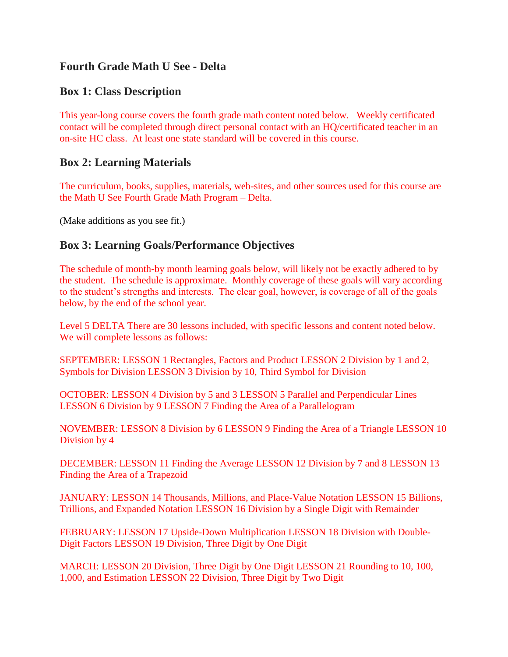## **Fourth Grade Math U See - Delta**

### **Box 1: Class Description**

This year-long course covers the fourth grade math content noted below. Weekly certificated contact will be completed through direct personal contact with an HQ/certificated teacher in an on-site HC class. At least one state standard will be covered in this course.

### **Box 2: Learning Materials**

The curriculum, books, supplies, materials, web-sites, and other sources used for this course are the Math U See Fourth Grade Math Program – Delta.

(Make additions as you see fit.)

### **Box 3: Learning Goals/Performance Objectives**

The schedule of month-by month learning goals below, will likely not be exactly adhered to by the student. The schedule is approximate. Monthly coverage of these goals will vary according to the student's strengths and interests. The clear goal, however, is coverage of all of the goals below, by the end of the school year.

Level 5 DELTA There are 30 lessons included, with specific lessons and content noted below. We will complete lessons as follows:

SEPTEMBER: LESSON 1 Rectangles, Factors and Product LESSON 2 Division by 1 and 2, Symbols for Division LESSON 3 Division by 10, Third Symbol for Division

OCTOBER: LESSON 4 Division by 5 and 3 LESSON 5 Parallel and Perpendicular Lines LESSON 6 Division by 9 LESSON 7 Finding the Area of a Parallelogram

NOVEMBER: LESSON 8 Division by 6 LESSON 9 Finding the Area of a Triangle LESSON 10 Division by 4

DECEMBER: LESSON 11 Finding the Average LESSON 12 Division by 7 and 8 LESSON 13 Finding the Area of a Trapezoid

JANUARY: LESSON 14 Thousands, Millions, and Place-Value Notation LESSON 15 Billions, Trillions, and Expanded Notation LESSON 16 Division by a Single Digit with Remainder

FEBRUARY: LESSON 17 Upside-Down Multiplication LESSON 18 Division with Double-Digit Factors LESSON 19 Division, Three Digit by One Digit

MARCH: LESSON 20 Division, Three Digit by One Digit LESSON 21 Rounding to 10, 100, 1,000, and Estimation LESSON 22 Division, Three Digit by Two Digit